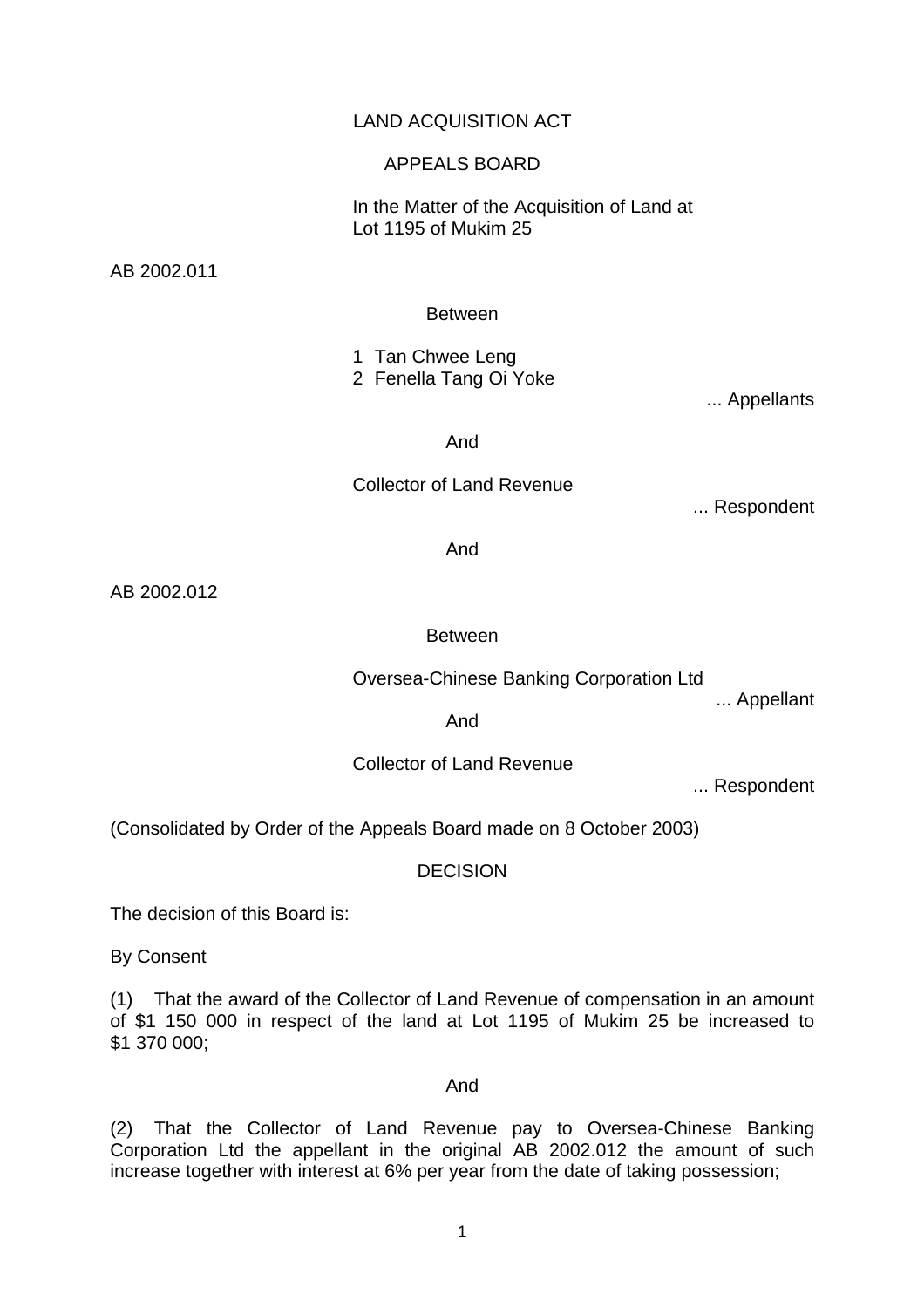# LAND ACQUISITION ACT

### APPEALS BOARD

 In the Matter of the Acquisition of Land at Lot 1195 of Mukim 25

AB 2002.011

### Between

 1 Tan Chwee Leng 2 Fenella Tang Oi Yoke

... Appellants

And

## Collector of Land Revenue

... Respondent

And

AB 2002.012

### Between

Oversea-Chinese Banking Corporation Ltd

... Appellant

And

Collector of Land Revenue

... Respondent

(Consolidated by Order of the Appeals Board made on 8 October 2003)

DECISION

The decision of this Board is:

By Consent

(1) That the award of the Collector of Land Revenue of compensation in an amount of \$1 150 000 in respect of the land at Lot 1195 of Mukim 25 be increased to \$1 370 000;

#### And

(2) That the Collector of Land Revenue pay to Oversea-Chinese Banking Corporation Ltd the appellant in the original AB 2002.012 the amount of such increase together with interest at 6% per year from the date of taking possession;